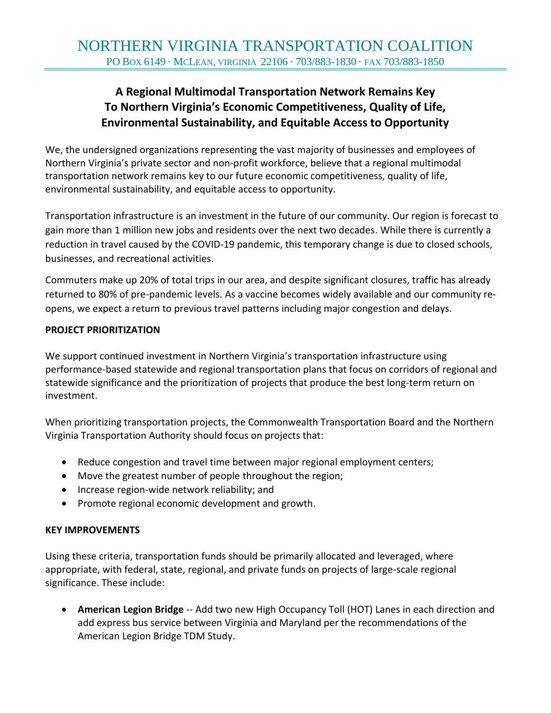# **A Regional Multimodal Transportation Network Remains Key To Northern Virginia's Economic Competitiveness, Quality of Life, Environmental Sustainability, and Equitable Access to Opportunity**

We, the undersigned organizations representing the vast majority of businesses and employees of Northern Virginia's private sector and non-profit workforce, believe that a regional multimodal transportation network remains key to our future economic competitiveness, quality of life, environmental sustainability, and equitable access to opportunity.

Transportation infrastructure is an investment in the future of our community. Our region is forecast to gain more than 1 million new jobs and residents over the next two decades. While there is currently a reduction in travel caused by the COVID-19 pandemic, this temporary change is due to closed schools, businesses, and recreational activities.

Commuters make up 20% of total trips in our area, and despite significant closures, traffic has already returned to 80% of pre-pandemic levels. As a vaccine becomes widely available and our community reopens, we expect a return to previous travel patterns including major congestion and delays.

## **PROJECT PRIORITIZATION**

We support continued investment in Northern Virginia's transportation infrastructure using performance-based statewide and regional transportation plans that focus on corridors of regional and statewide significance and the prioritization of projects that produce the best long-term return on investment.

When prioritizing transportation projects, the Commonwealth Transportation Board and the Northern Virginia Transportation Authority should focus on projects that:

- Reduce congestion and travel time between major regional employment centers;
- Move the greatest number of people throughout the region;
- Increase region-wide network reliability; and
- Promote regional economic development and growth.

## **KEY IMPROVEMENTS**

Using these criteria, transportation funds should be primarily allocated and leveraged, where appropriate, with federal, state, regional, and private funds on projects of large-scale regional significance. These include:

• **American Legion Bridge** -- Add two new High Occupancy Toll (HOT) Lanes in each direction and add express bus service between Virginia and Maryland per the recommendations of the American Legion Bridge TDM Study.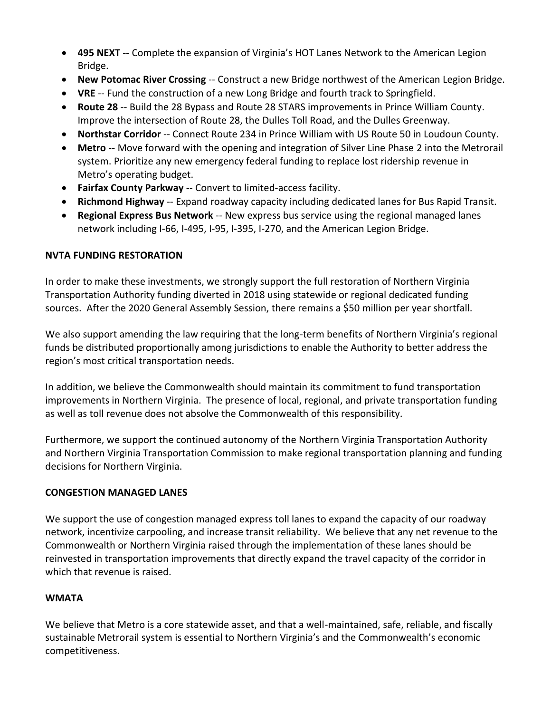- **495 NEXT --** Complete the expansion of Virginia's HOT Lanes Network to the American Legion Bridge.
- **New Potomac River Crossing** -- Construct a new Bridge northwest of the American Legion Bridge.
- **VRE** -- Fund the construction of a new Long Bridge and fourth track to Springfield.
- **Route 28** -- Build the 28 Bypass and Route 28 STARS improvements in Prince William County. Improve the intersection of Route 28, the Dulles Toll Road, and the Dulles Greenway.
- **Northstar Corridor** -- Connect Route 234 in Prince William with US Route 50 in Loudoun County.
- **Metro** -- Move forward with the opening and integration of Silver Line Phase 2 into the Metrorail system. Prioritize any new emergency federal funding to replace lost ridership revenue in Metro's operating budget.
- **Fairfax County Parkway** -- Convert to limited-access facility.
- **Richmond Highway** -- Expand roadway capacity including dedicated lanes for Bus Rapid Transit.
- **Regional Express Bus Network** -- New express bus service using the regional managed lanes network including I-66, I-495, I-95, I-395, I-270, and the American Legion Bridge.

## **NVTA FUNDING RESTORATION**

In order to make these investments, we strongly support the full restoration of Northern Virginia Transportation Authority funding diverted in 2018 using statewide or regional dedicated funding sources. After the 2020 General Assembly Session, there remains a \$50 million per year shortfall.

We also support amending the law requiring that the long-term benefits of Northern Virginia's regional funds be distributed proportionally among jurisdictions to enable the Authority to better address the region's most critical transportation needs.

In addition, we believe the Commonwealth should maintain its commitment to fund transportation improvements in Northern Virginia. The presence of local, regional, and private transportation funding as well as toll revenue does not absolve the Commonwealth of this responsibility.

Furthermore, we support the continued autonomy of the Northern Virginia Transportation Authority and Northern Virginia Transportation Commission to make regional transportation planning and funding decisions for Northern Virginia.

# **CONGESTION MANAGED LANES**

We support the use of congestion managed express toll lanes to expand the capacity of our roadway network, incentivize carpooling, and increase transit reliability. We believe that any net revenue to the Commonwealth or Northern Virginia raised through the implementation of these lanes should be reinvested in transportation improvements that directly expand the travel capacity of the corridor in which that revenue is raised.

# **WMATA**

We believe that Metro is a core statewide asset, and that a well-maintained, safe, reliable, and fiscally sustainable Metrorail system is essential to Northern Virginia's and the Commonwealth's economic competitiveness.